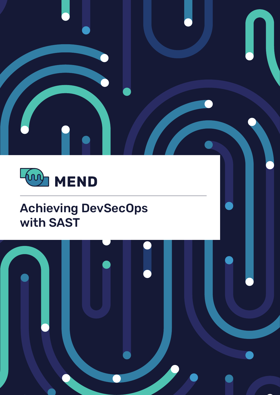



## **Achieving DevSecOps** with SAST

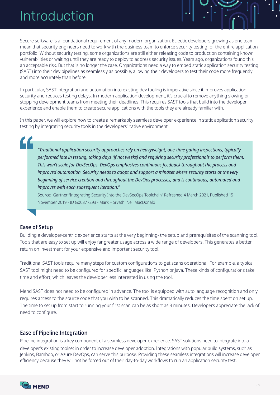# Introduction

Secure software is a foundational requirement of any modern organization. Eclectic developers growing as one team mean that security engineers need to work with the business team to enforce security testing for the entire application portfolio. Without security testing, some organizations are still either releasing code to production containing known vulnerabilities or waiting until they are ready to deploy to address security issues. Years ago, organizations found this an acceptable risk. But that is no longer the case. Organizations need a way to embed static application security testing (SAST) into their dev pipelines as seamlessly as possible, allowing their developers to test their code more frequently and more accurately than before.

In particular, SAST integration and automation into existing dev tooling is imperative since it improves application security and reduces testing delays. In modern application development, it's crucial to remove anything slowing or stopping development teams from meeting their deadlines. This requires SAST tools that build into the developer experience and enable them to create secure applications with the tools they are already familiar with.

In this paper, we will explore how to create a remarkably seamless developer experience in static application security testing by integrating security tools in the developers' native environment.

 *typically ,inspections gating time-one ,heavyweight on rely approaches security application Traditional" performed late in testing, taking days (if not weeks) and requiring security professionals to perform them. This won't scale for DevSecOps. DevOps emphasizes continuous feedback throughout the process and improved automation. Security needs to adopt and support a mindset where security starts at the very* beginning of service creation and throughout the DevOps processes, and is continuous, automated and *improves with each subsequent iteration."* 

Source: Gartner "Integrating Security Into the DevSecOps Toolchain" Refreshed 4 March 2021, Published 15 November 2019 - ID G00377293 - Mark Horvath, Neil MacDonald

### **Ease of Setup**

Building a developer-centric experience starts at the very beginning- the setup and prerequisites of the scanning tool. Tools that are easy to set up will enjoy far greater usage across a wide range of developers. This generates a better return on investment for your expensive and important security tool.

Traditional SAST tools require many steps for custom configurations to get scans operational. For example, a typical SAST tool might need to be configured for specific languages like Python or Java. These kinds of configurations take time and effort, which leaves the developer less interested in using the tool.

Mend SAST does not need to be configured in advance. The tool is equipped with auto language recognition and only requires access to the source code that you wish to be scanned. This dramatically reduces the time spent on set up. The time to set up from start to running your first scan can be as short as 3 minutes. Developers appreciate the lack of need to configure.

#### **Ease of Pipeline Integration**

Pipeline integration is a key component of a seamless developer experience. SAST solutions need to integrate into a developer's existing toolset in order to increase developer adoption. Integrations with popular build systems, such as Jenkins, Bamboo, or Azure DevOps, can serve this purpose. Providing these seamless integrations will increase developer efficiency because they will not be forced out of their day-to-day workflows to run an application security test.

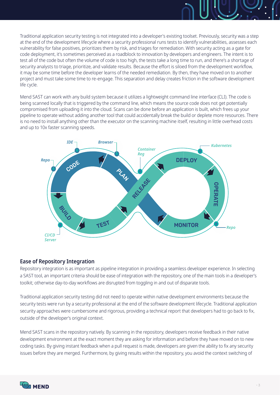Traditional application security testing is not integrated into a developer's existing toolset. Previously, security was a step at the end of the development lifecycle where a security professional runs tests to identify vulnerabilities, assesses each vulnerability for false positives, prioritizes them by risk, and triages for remediation. With security acting as a gate for code deployment, it's sometimes perceived as a roadblock to innovation by developers and engineers. The intent is to test all of the code but often the volume of code is too high, the tests take a long time to run, and there's a shortage of security analysts to triage, prioritize, and validate results. Because the effort is siloed from the development workflow, it may be some time before the developer learns of the needed remediation. By then, they have moved on to another project and must take some time to re-engage. This separation and delay creates friction in the software development life cycle.

Mend SAST can work with any build system because it utilizes a lightweight command line interface (CLI). The code is being scanned locally that is triggered by the command line, which means the source code does not get potentially compromised from uploading it into the cloud. Scans can be done before an application is built, which frees up your pipeline to operate without adding another tool that could accidentally break the build or deplete more resources. There is no need to install anything other than the executor on the scanning machine itself, resulting in little overhead costs and up to 10x faster scanning speeds.



#### **Ease of Repository Integration**

Repository integration is as important as pipeline integration in providing a seamless developer experience. In selecting a SAST tool, an important criteria should be ease of integration with the repository, one of the main tools in a developer's toolkit; otherwise day-to-day workflows are disrupted from toggling in and out of disparate tools.

Traditional application security testing did not need to operate within native development environments because the security tests were run by a security professional at the end of the software development lifecycle. Traditional application security approaches were cumbersome and rigorous, providing a technical report that developers had to go back to fix, outside of the developer's original context.

Mend SAST scans in the repository natively. By scanning in the repository, developers receive feedback in their native development environment at the exact moment they are asking for information and before they have moved on to new coding tasks. By giving instant feedback when a pull request is made, developers are given the ability to fix any security issues before they are merged. Furthermore, by giving results within the repository, you avoid the context switching of